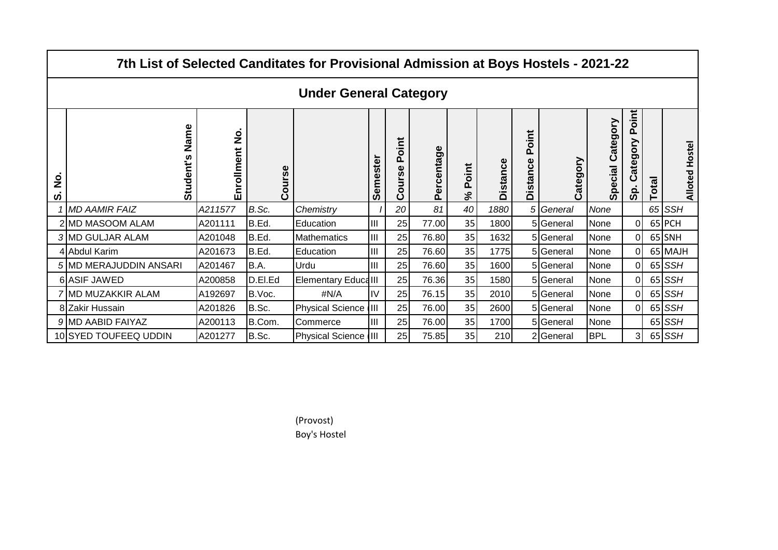| 7th List of Selected Canditates for Provisional Admission at Boys Hostels - 2021-22 |                               |                   |                      |                            |          |                             |            |                   |                 |                          |           |                     |                                          |              |                |
|-------------------------------------------------------------------------------------|-------------------------------|-------------------|----------------------|----------------------------|----------|-----------------------------|------------|-------------------|-----------------|--------------------------|-----------|---------------------|------------------------------------------|--------------|----------------|
|                                                                                     | <b>Under General Category</b> |                   |                      |                            |          |                             |            |                   |                 |                          |           |                     |                                          |              |                |
| $\frac{1}{2}$<br>ທ                                                                  | Name<br>Student's             | nrollment No<br>ш | urse<br>$\circ$<br>ပ |                            | Semester | Point<br><b>PSII</b><br>ပြီ | Percentage | Point<br>$\aleph$ | <b>Distance</b> | Point<br><b>Distance</b> | Category  | Category<br>Special | oint<br>൨<br>≧<br>O<br>Ō<br>Φ<br>ပ<br>တိ | <b>Total</b> | Alloted Hostel |
|                                                                                     | <b>MD AAMIR FAIZ</b>          | A211577           | B.Sc.                | Chemistry                  |          | 20                          | 81         | 40                | 1880            | 5 <sub>l</sub>           | General   | None                |                                          |              | $65$ SSH       |
|                                                                                     | 2 MD MASOOM ALAM              | A201111           | B.Ed.                | Education                  | IШ       | 25                          | 77.00      | 35                | 1800            |                          | 5 General | None                | $\Omega$                                 |              | 65 PCH         |
|                                                                                     | 3 MD GULJAR ALAM              | A201048           | B.Ed.                | Mathematics                | lш       | 25                          | 76.80      | 35                | 1632            |                          | 5 General | None                |                                          |              | 65 SNH         |
|                                                                                     | 4 Abdul Karim                 | A201673           | B.Ed.                | Education                  | lIII     | 25                          | 76.60      | 35                | 1775            |                          | 5 General | None                |                                          |              | 65 MAJH        |
|                                                                                     | 5 MD MERAJUDDIN ANSARI        | A201467           | B.A.                 | Urdu                       | Ш        | 25                          | 76.60      | 35                | 1600            |                          | 5 General | None                |                                          |              | $65$ SSH       |
|                                                                                     | 6 ASIF JAWED                  | A200858           | D.El.Ed              | <b>Elementary EducalII</b> |          | 25                          | 76.36      | 35                | 1580            |                          | 5 General | None                |                                          |              | $65$ SSH       |
|                                                                                     | 7 MD MUZAKKIR ALAM            | A192697           | B.Voc.               | $\#N/A$                    | IV       | 25                          | 76.15      | 35                | 2010            |                          | 5 General | None                |                                          |              | $65$ SSH       |
|                                                                                     | 8 Zakir Hussain               | A201826           | B.Sc.                | Physical Science III       |          | 25                          | 76.00      | 35                | 2600            |                          | 5General  | None                |                                          |              | $65$ SSH       |
|                                                                                     | 9 MD AABID FAIYAZ             | A200113           | B.Com.               | Commerce                   | lIII     | 25                          | 76.00      | 35                | 1700            |                          | 5 General | None                |                                          |              | $65$ SSH       |
|                                                                                     | 10 SYED TOUFEEQ UDDIN         | A201277           | B.Sc.                | Physical Science III       |          | 25                          | 75.85      | 35                | 210             |                          | 2 General | <b>BPL</b>          |                                          |              | $65$ SSH       |

(Provost) Boy's Hostel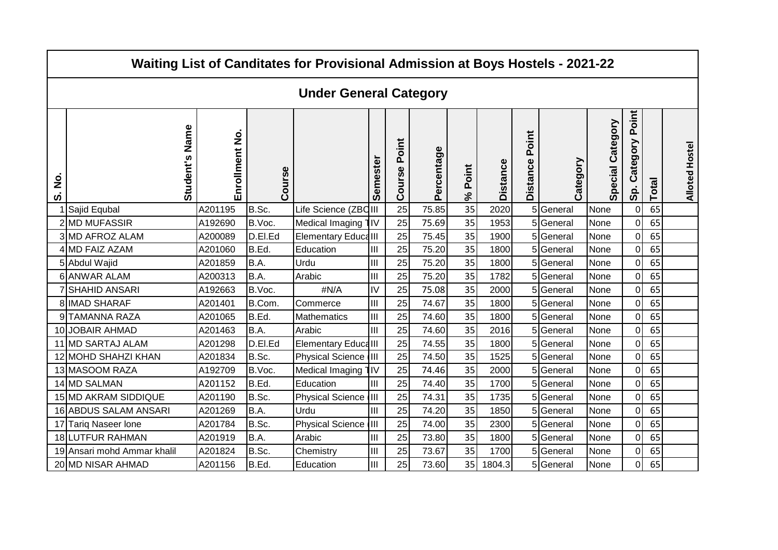| Waiting List of Canditates for Provisional Admission at Boys Hostels - 2021-22 |                               |                |         |                             |          |                 |            |                   |                 |                          |           |                     |                          |       |                       |
|--------------------------------------------------------------------------------|-------------------------------|----------------|---------|-----------------------------|----------|-----------------|------------|-------------------|-----------------|--------------------------|-----------|---------------------|--------------------------|-------|-----------------------|
|                                                                                | <b>Under General Category</b> |                |         |                             |          |                 |            |                   |                 |                          |           |                     |                          |       |                       |
| ف<br>Z<br>ທ່                                                                   | Student's Name                | Enrollment No. | Course  |                             | Semester | Point<br>Course | Percentage | Point<br>$\aleph$ | <b>Distance</b> | Point<br><b>Distance</b> | Category  | Category<br>Special | Point<br>Category<br>Sp. | Total | <b>Alloted Hostel</b> |
|                                                                                | Sajid Equbal                  | A201195        | B.Sc.   | Life Science (ZBC III       |          | 25              | 75.85      | 35                | 2020            |                          | 5 General | None                | $\Omega$                 | 65    |                       |
|                                                                                | 2 MD MUFASSIR                 | A192690        | B.Voc.  | Medical Imaging 1IV         |          | 25              | 75.69      | 35                | 1953            |                          | 5 General | None                | $\Omega$                 | 65    |                       |
|                                                                                | 3 MD AFROZ ALAM               | A200089        | D.El.Ed | <b>Elementary Educa III</b> |          | 25              | 75.45      | 35                | 1900            |                          | 5 General | None                | $\mathcal{C}$            | 65    |                       |
|                                                                                | 4 MD FAIZ AZAM                | A201060        | B.Ed.   | Education                   | III      | 25              | 75.20      | 35                | 1800            |                          | 5 General | None                | C                        | 65    |                       |
|                                                                                | 5 Abdul Wajid                 | A201859        | B.A.    | Urdu                        | Ш        | 25              | 75.20      | 35                | 1800            |                          | 5 General | None                | $\sqrt{ }$               | 65    |                       |
|                                                                                | 6 ANWAR ALAM                  | A200313        | B.A.    | Arabic                      | III      | 25              | 75.20      | 35                | 1782            |                          | 5 General | None                | $\Omega$                 | 65    |                       |
|                                                                                | <b>SHAHID ANSARI</b>          | A192663        | B.Voc.  | #N/A                        | IV       | 25              | 75.08      | 35                | 2000            |                          | 5 General | None                | $\Omega$                 | 65    |                       |
|                                                                                | 8 IMAD SHARAF                 | A201401        | B.Com.  | Commerce                    | III      | 25              | 74.67      | 35                | 1800            |                          | 5 General | None                | C                        | 65    |                       |
|                                                                                | 9 TAMANNA RAZA                | A201065        | B.Ed.   | <b>Mathematics</b>          | III      | 25              | 74.60      | 35                | 1800            |                          | 5 General | None                | $\Omega$                 | 65    |                       |
|                                                                                | 10 JOBAIR AHMAD               | A201463        | B.A.    | Arabic                      | IШ       | 25              | 74.60      | 35                | 2016            |                          | 5 General | None                | C                        | 65    |                       |
|                                                                                | 11 MD SARTAJ ALAM             | A201298        | D.EI.Ed | <b>Elementary EducalII</b>  |          | 25              | 74.55      | 35                | 1800            |                          | 5 General | None                | $\sqrt{ }$               | 65    |                       |
|                                                                                | 12 MOHD SHAHZI KHAN           | A201834        | B.Sc.   | Physical Science III        |          | 25              | 74.50      | 35                | 1525            |                          | 5 General | None                | $\Omega$                 | 65    |                       |
|                                                                                | 13 MASOOM RAZA                | A192709        | B.Voc.  | Medical Imaging             | ¶l∨      | 25              | 74.46      | 35                | 2000            |                          | 5 General | None                | $\sqrt{ }$               | 65    |                       |
|                                                                                | 14 MD SALMAN                  | A201152        | B.Ed.   | Education                   | IШ       | 25              | 74.40      | 35                | 1700            |                          | 5 General | None                | $\sqrt{ }$               | 65    |                       |
|                                                                                | 15 MD AKRAM SIDDIQUE          | A201190        | B.Sc.   | Physical Science III        |          | 25              | 74.31      | 35                | 1735            |                          | 5 General | None                | $\mathcal{C}$            | 65    |                       |
|                                                                                | 16 ABDUS SALAM ANSARI         | A201269        | B.A.    | Urdu                        | IШ       | 25              | 74.20      | 35                | 1850            |                          | 5 General | None                | $\sqrt{ }$               | 65    |                       |
|                                                                                | 17 Tariq Naseer lone          | A201784        | B.Sc.   | Physical Science III        |          | 25              | 74.00      | 35                | 2300            |                          | 5 General | None                | $\Omega$                 | 65    |                       |
|                                                                                | 18 LUTFUR RAHMAN              | A201919        | B.A.    | Arabic                      | Ш        | 25              | 73.80      | 35                | 1800            |                          | 5 General | None                | C                        | 65    |                       |
|                                                                                | 19 Ansari mohd Ammar khalil   | A201824        | B.Sc.   | Chemistry                   | Ш        | 25              | 73.67      | 35                | 1700            |                          | 5 General | None                | C                        | 65    |                       |
|                                                                                | 20 MD NISAR AHMAD             | A201156        | B.Ed.   | Education                   | III      | 25              | 73.60      | 35                | 1804.3          |                          | 5 General | None                | $\sqrt{ }$               | 65    |                       |